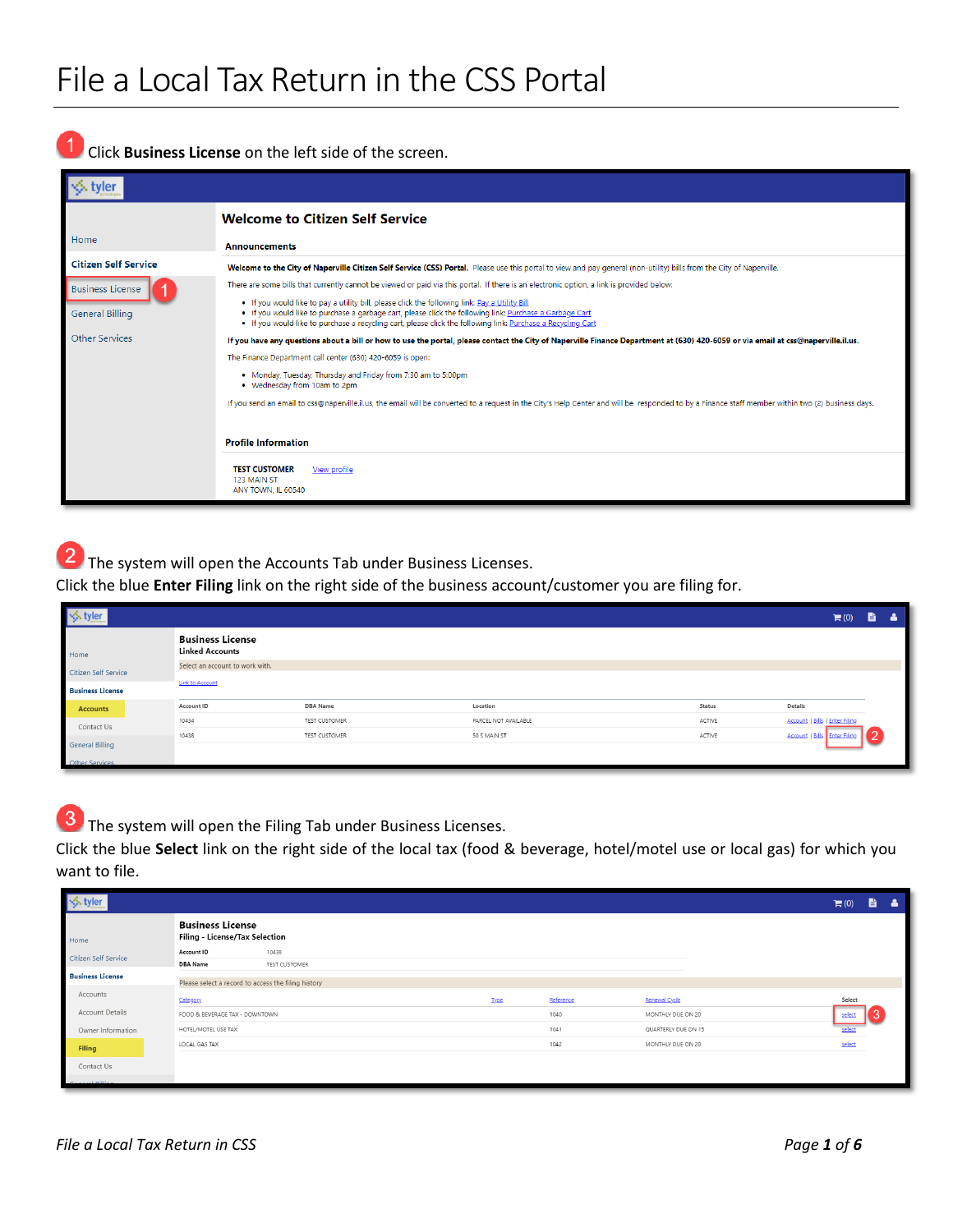Click **Business License** on the left side of the screen.

|                             | <b>Welcome to Citizen Self Service</b>                                                                                                                                                                                                                                                                                     |
|-----------------------------|----------------------------------------------------------------------------------------------------------------------------------------------------------------------------------------------------------------------------------------------------------------------------------------------------------------------------|
| Home                        | <b>Announcements</b>                                                                                                                                                                                                                                                                                                       |
| <b>Citizen Self Service</b> | Welcome to the City of Naperville Citizen Self Service (CSS) Portal. Please use this portal to view and pay general (non-utility) bills from the City of Naperville.                                                                                                                                                       |
| <b>Business License</b>     | There are some bills that currently cannot be viewed or paid via this portal. If there is an electronic option, a link is provided below:                                                                                                                                                                                  |
| <b>General Billing</b>      | . If you would like to pay a utility bill, please click the following link: Pay a Utility Bill<br>. If you would like to purchase a garbage cart, please click the following link: Purchase a Garbage Cart<br>. If you would like to purchase a recycling cart, please click the following link: Purchase a Recycling Cart |
| <b>Other Services</b>       | If you have any questions about a bill or how to use the portal, please contact the City of Naperville Finance Department at (630) 420-6059 or via email at css@naperville.il.us.                                                                                                                                          |
|                             | The Finance Department call center (630) 420-6059 is open:                                                                                                                                                                                                                                                                 |
|                             | . Monday, Tuesday, Thursday and Friday from 7:30 am to 5:00pm<br>• Wednesday from 10am to 2pm                                                                                                                                                                                                                              |
|                             | If you send an email to css@naperville.il.us, the email will be converted to a request in the City's Help Center and will be responded to by a Finance staff member within two (2) business days.                                                                                                                          |
|                             | <b>Profile Information</b>                                                                                                                                                                                                                                                                                                 |
|                             | <b>TEST CUSTOMER</b><br>View profile<br>123 MAIN ST<br>ANY TOWN. IL 60540                                                                                                                                                                                                                                                  |

2 The system will open the Accounts Tab under Business Licenses.

Click the blue **Enter Filing** link on the right side of the business account/customer you are filing for.

|                                                   |                                                   |                      |                      |        | $\blacksquare$ (0)                    | ê. |  |
|---------------------------------------------------|---------------------------------------------------|----------------------|----------------------|--------|---------------------------------------|----|--|
| Home                                              | <b>Business License</b><br><b>Linked Accounts</b> |                      |                      |        |                                       |    |  |
| Citizen Self Service                              | Select an account to work with.                   |                      |                      |        |                                       |    |  |
| <b>Link to Account</b><br><b>Business License</b> |                                                   |                      |                      |        |                                       |    |  |
| <b>Accounts</b>                                   | Account ID                                        | <b>DBA</b> Name      | Location             | Status | Details                               |    |  |
| Contact Us                                        | 10434                                             | TEST CUSTOMER        | PARCEL NOT AVAILABLE | ACTIVE | <b>Account   Bills   Enter Filing</b> |    |  |
|                                                   | 10438                                             | <b>TEST CUSTOMER</b> | 50 S MAIN ST         | ACTIVE | Account   Bills Enter F               |    |  |
| <b>General Billing</b>                            |                                                   |                      |                      |        |                                       |    |  |
| Other Services                                    |                                                   |                      |                      |        |                                       |    |  |

3 The system will open the Filing Tab under Business Licenses.

Click the blue **Select** link on the right side of the local tax (food & beverage, hotel/motel use or local gas) for which you want to file.

| S tyler ↓               |                                                           |             |           |                     | $\mathbb{H}(0)$ | B. | - 2 |
|-------------------------|-----------------------------------------------------------|-------------|-----------|---------------------|-----------------|----|-----|
| Home                    | <b>Business License</b><br>Filing - License/Tax Selection |             |           |                     |                 |    |     |
| Citizen Self Service    | Account ID<br>10438                                       |             |           |                     |                 |    |     |
|                         | <b>DBA Name</b><br>TEST CUSTOMER                          |             |           |                     |                 |    |     |
| <b>Business License</b> | Please select a record to access the filing history       |             |           |                     |                 |    |     |
| Accounts                | Category                                                  | <b>Type</b> | Reference | Renewal Cycle       | Select          |    |     |
| Account Details         | FOOD & BEVERAGE TAX - DOWNTOWN                            |             | 1040      | MONTHLY DUE ON 20   | select          |    |     |
| Owner Information       | HOTEL/MOTEL USE TAX                                       |             | 1041      | QUARTERLY DUE ON 15 | select          |    |     |
| Filing                  | LOCAL GAS TAX                                             |             | 1042      | MONTHLY DUE ON 20   | select          |    |     |
| Contact Us              |                                                           |             |           |                     |                 |    |     |
| <b>Construction</b>     |                                                           |             |           |                     |                 |    |     |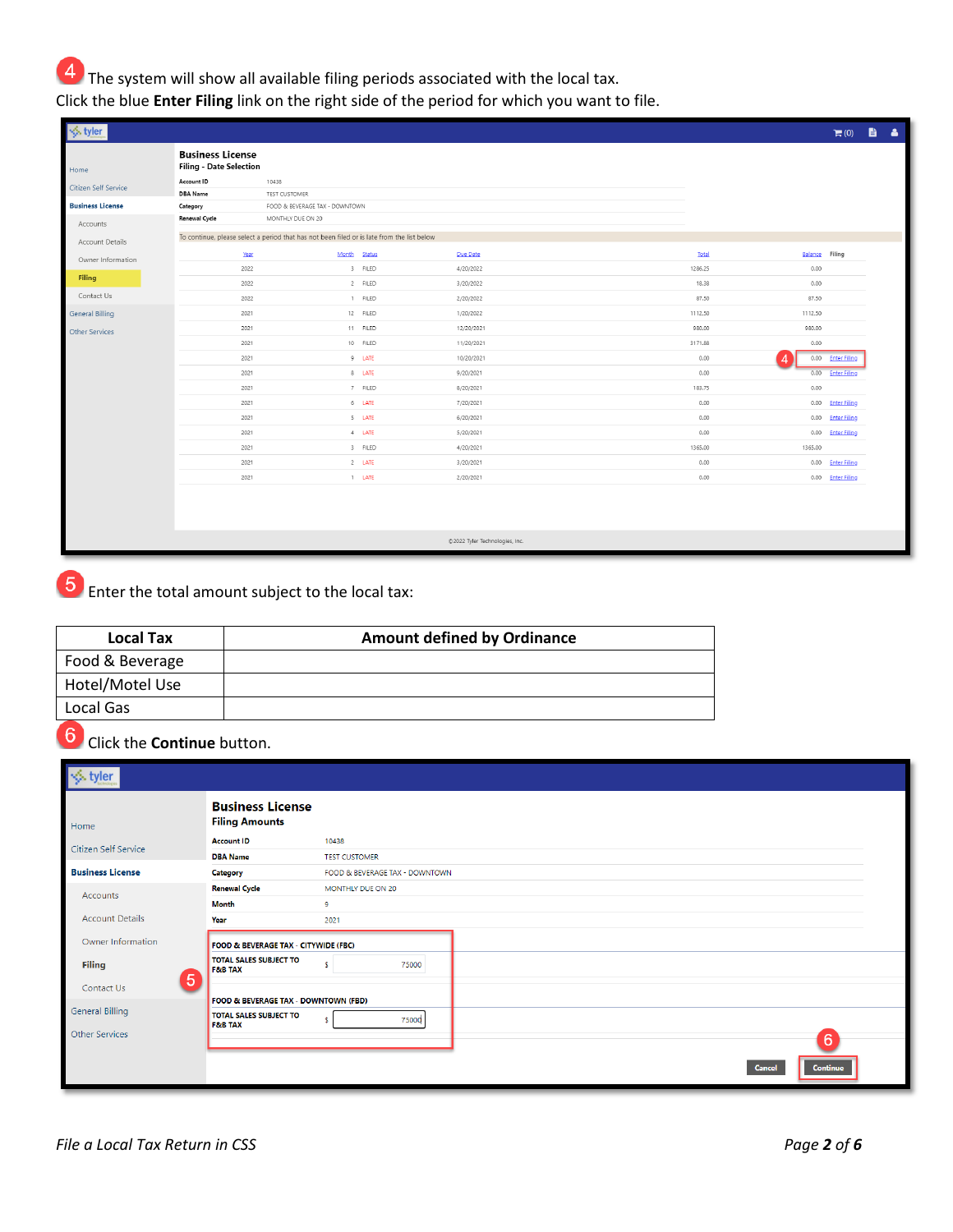$\overline{4}$  The system will show all available filing periods associated with the local tax.

Click the blue **Enter Filing** link on the right side of the period for which you want to file.

| $\frac{1}{2}$ , tyler   |                                                           |                                                                                            |          |                                |         |                | $\blacksquare$ (0)  | ■ ▲ |  |
|-------------------------|-----------------------------------------------------------|--------------------------------------------------------------------------------------------|----------|--------------------------------|---------|----------------|---------------------|-----|--|
| Home                    | <b>Business License</b><br><b>Filing - Date Selection</b> |                                                                                            |          |                                |         |                |                     |     |  |
| Citizen Self Service    | Account ID                                                | 10438                                                                                      |          |                                |         |                |                     |     |  |
| <b>Business License</b> | <b>DBA</b> Name<br>Category                               | TEST CUSTOMER<br>FOOD & BEVERAGE TAX - DOWNTOWN                                            |          |                                |         |                |                     |     |  |
|                         | <b>Renewal Cycle</b>                                      | MONTHLY DUE ON 20                                                                          |          |                                |         |                |                     |     |  |
| Accounts                |                                                           |                                                                                            |          |                                |         |                |                     |     |  |
| Account Details         |                                                           | To continue, please select a period that has not been filed or is late from the list below |          |                                |         |                |                     |     |  |
| Owner Information       | Year                                                      | Month                                                                                      | Status   | Due Date                       | Total   | Balance Filing |                     |     |  |
|                         | 2022                                                      |                                                                                            | 3 FILED  | 4/20/2022                      | 1286.25 | 0.00           |                     |     |  |
| Filing                  | 2022                                                      |                                                                                            | 2 FILED  | 3/20/2022                      | 18.38   | 0.00           |                     |     |  |
| Contact Us              | 2022                                                      |                                                                                            | 1 FILED  | 2/20/2022                      | 87.50   | 87.50          |                     |     |  |
| <b>General Billing</b>  | 2021                                                      |                                                                                            | 12 FILED | 1/20/2022                      | 1112.50 | 1112.50        |                     |     |  |
| Other Services          | 2021                                                      |                                                                                            | 11 FILED | 12/20/2021                     | 980.00  | 980.00         |                     |     |  |
|                         | 2021                                                      |                                                                                            | 10 FILED | 11/20/2021                     | 3171.88 | 0.00           |                     |     |  |
|                         | 2021                                                      |                                                                                            | 9 LATE   | 10/20/2021                     | 0.00    |                | 0.00 Enter Filing   |     |  |
|                         | 2021                                                      |                                                                                            | 8 LATE   | 9/20/2021                      | 0.00    | 0.00           | <b>Enter Filing</b> |     |  |
|                         | 2021                                                      |                                                                                            | 7 FILED  | 8/20/2021                      | 183.75  | 0.00           |                     |     |  |
|                         | 2021                                                      |                                                                                            | 6 LATE   | 7/20/2021                      | 0.00    | 0.00           | <b>Enter Filing</b> |     |  |
|                         | 2021                                                      |                                                                                            | 5 LATE   | 6/20/2021                      | 0.00    | 0.00           | <b>Enter Filing</b> |     |  |
|                         | 2021                                                      |                                                                                            | $4$ LATE | 5/20/2021                      | 0.00    | 0.00           | <b>Enter Filing</b> |     |  |
|                         | 2021                                                      |                                                                                            | 3 FILED  | 4/20/2021                      | 1365.00 | 1365.00        |                     |     |  |
|                         | 2021                                                      |                                                                                            | $2$ LATE | 3/20/2021                      | 0.00    |                | 0.00 Enter Filing   |     |  |
|                         | 2021                                                      |                                                                                            | 1 LATE   | 2/20/2021                      | 0.00    |                | 0.00 Enter Filing   |     |  |
|                         |                                                           |                                                                                            |          |                                |         |                |                     |     |  |
|                         |                                                           |                                                                                            |          | @2022 Tyler Technologies, Inc. |         |                |                     |     |  |

Enter the total amount subject to the local tax:

| <b>Local Tax</b> | <b>Amount defined by Ordinance</b> |
|------------------|------------------------------------|
| Food & Beverage  |                                    |
| Hotel/Motel Use  |                                    |
| Local Gas        |                                    |
|                  |                                    |

Click the **Continue** button.

| tyler                   |                |                                                     |                                |
|-------------------------|----------------|-----------------------------------------------------|--------------------------------|
| Home                    |                | <b>Business License</b><br><b>Filing Amounts</b>    |                                |
| Citizen Self Service    |                | <b>Account ID</b>                                   | 10438                          |
|                         |                | <b>DBA Name</b>                                     | <b>TEST CUSTOMER</b>           |
| <b>Business License</b> |                | <b>Category</b>                                     | FOOD & BEVERAGE TAX - DOWNTOWN |
| Accounts                |                | <b>Renewal Cycle</b>                                | MONTHLY DUE ON 20              |
|                         |                | <b>Month</b>                                        | 9                              |
| <b>Account Details</b>  |                | Year                                                | 2021                           |
| Owner Information       |                | FOOD & BEVERAGE TAX - CITYWIDE (FBC)                |                                |
| <b>Filing</b>           |                | <b>TOTAL SALES SUBJECT TO</b><br><b>F&amp;B TAX</b> | s<br>75000                     |
| <b>Contact Us</b>       | $\overline{5}$ |                                                     |                                |
|                         |                | FOOD & BEVERAGE TAX - DOWNTOWN (FBD)                |                                |
| <b>General Billing</b>  |                | <b>TOTAL SALES SUBJECT TO</b><br><b>F&amp;B TAX</b> | 75000<br>s.                    |
| Other Services          |                |                                                     |                                |
|                         |                |                                                     |                                |
|                         |                |                                                     |                                |
|                         |                |                                                     |                                |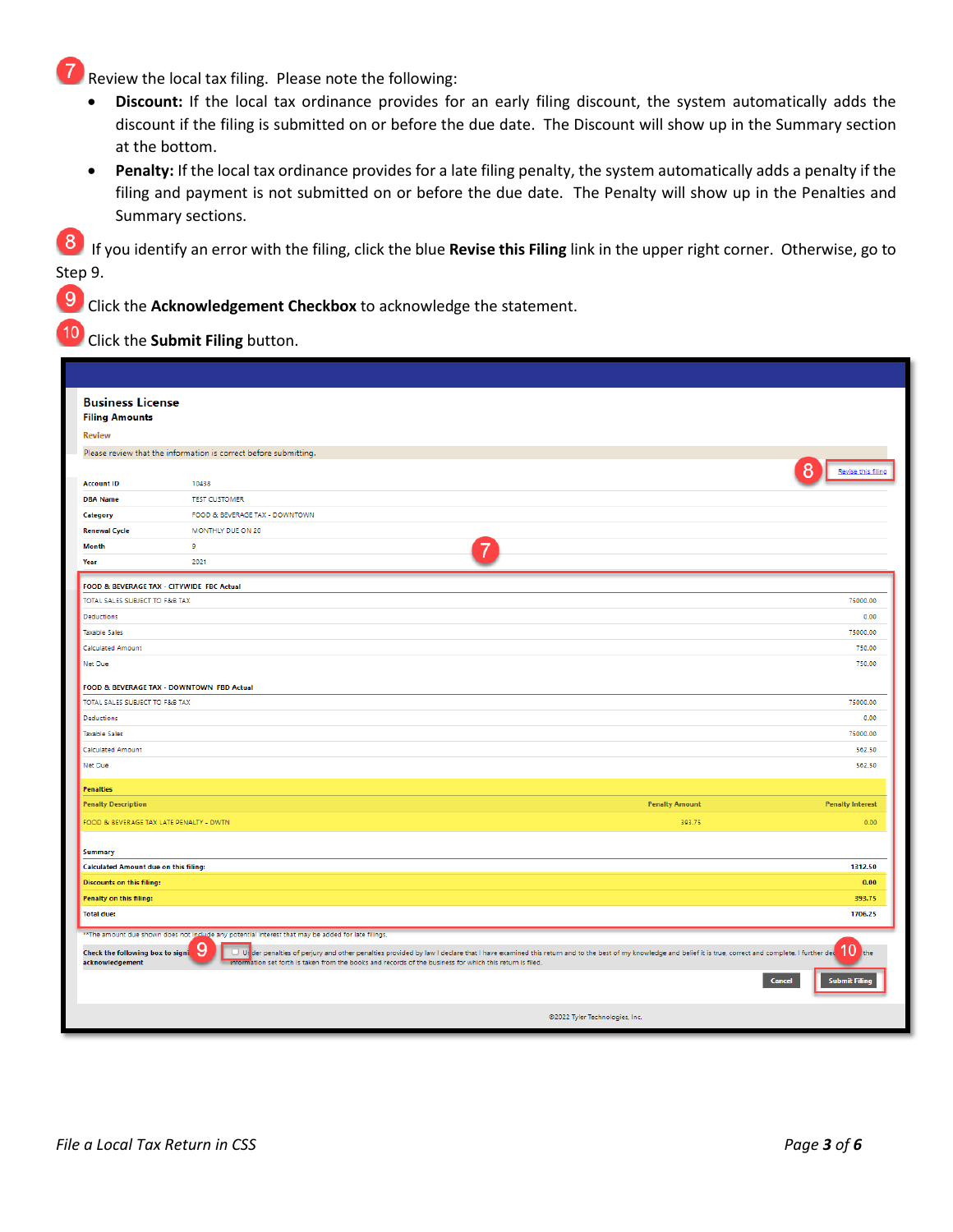Review the local tax filing. Please note the following:

- **Discount:** If the local tax ordinance provides for an early filing discount, the system automatically adds the discount if the filing is submitted on or before the due date. The Discount will show up in the Summary section at the bottom.
- **Penalty:** If the local tax ordinance provides for a late filing penalty, the system automatically adds a penalty if the filing and payment is not submitted on or before the due date. The Penalty will show up in the Penalties and Summary sections.

 If you identify an error with the filing, click the blue **Revise this Filing** link in the upper right corner. Otherwise, go to Step 9.

Click the **Acknowledgement Checkbox** to acknowledge the statement.

Click the **Submit Filing** button.

 $\overline{9}$ 

10

| <b>Business License</b><br><b>Filing Amounts</b>        |                                                                                                                                                                                                                                                                                                                                                                                                                                  |                                                |
|---------------------------------------------------------|----------------------------------------------------------------------------------------------------------------------------------------------------------------------------------------------------------------------------------------------------------------------------------------------------------------------------------------------------------------------------------------------------------------------------------|------------------------------------------------|
| <b>Review</b>                                           |                                                                                                                                                                                                                                                                                                                                                                                                                                  |                                                |
|                                                         | Please review that the information is correct before submitting.                                                                                                                                                                                                                                                                                                                                                                 |                                                |
|                                                         |                                                                                                                                                                                                                                                                                                                                                                                                                                  | Revise this filing                             |
| <b>Account ID</b>                                       | 10438                                                                                                                                                                                                                                                                                                                                                                                                                            |                                                |
| <b>DBA Name</b>                                         | <b>TEST CUSTOMER</b>                                                                                                                                                                                                                                                                                                                                                                                                             |                                                |
| Category                                                | FOOD & BEVERAGE TAX - DOWNTOWN                                                                                                                                                                                                                                                                                                                                                                                                   |                                                |
| <b>Renewal Cycle</b>                                    | MONTHLY DUE ON 20                                                                                                                                                                                                                                                                                                                                                                                                                |                                                |
| <b>Month</b>                                            | $\mathbf{Q}$                                                                                                                                                                                                                                                                                                                                                                                                                     |                                                |
| Year                                                    | 2021                                                                                                                                                                                                                                                                                                                                                                                                                             |                                                |
| FOOD & BEVERAGE TAX - CITYWIDE FBC Actual               |                                                                                                                                                                                                                                                                                                                                                                                                                                  |                                                |
| TOTAL SALES SUBJECT TO F&B TAX                          |                                                                                                                                                                                                                                                                                                                                                                                                                                  | 75000.00                                       |
| Deductions                                              |                                                                                                                                                                                                                                                                                                                                                                                                                                  | 0.00                                           |
| <b>Taxable Sales</b>                                    |                                                                                                                                                                                                                                                                                                                                                                                                                                  | 75000.00                                       |
| <b>Calculated Amount</b>                                |                                                                                                                                                                                                                                                                                                                                                                                                                                  | 750.00                                         |
| Net Due                                                 |                                                                                                                                                                                                                                                                                                                                                                                                                                  | 750.00                                         |
| FOOD & BEVERAGE TAX - DOWNTOWN FBD Actual               |                                                                                                                                                                                                                                                                                                                                                                                                                                  |                                                |
| TOTAL SALES SUBJECT TO F&B TAX                          |                                                                                                                                                                                                                                                                                                                                                                                                                                  | 75000.00                                       |
| Deductions                                              |                                                                                                                                                                                                                                                                                                                                                                                                                                  | 0.00                                           |
| <b>Taxable Sales</b>                                    |                                                                                                                                                                                                                                                                                                                                                                                                                                  | 75000.00                                       |
| <b>Calculated Amount</b>                                |                                                                                                                                                                                                                                                                                                                                                                                                                                  | 562.50                                         |
| Net Due                                                 |                                                                                                                                                                                                                                                                                                                                                                                                                                  | 562.50                                         |
|                                                         |                                                                                                                                                                                                                                                                                                                                                                                                                                  |                                                |
| <b>Penalties</b>                                        |                                                                                                                                                                                                                                                                                                                                                                                                                                  |                                                |
| <b>Penalty Description</b>                              | <b>Penalty Amount</b>                                                                                                                                                                                                                                                                                                                                                                                                            | <b>Penalty Interest</b>                        |
| FOOD & BEVERAGE TAX LATE PENALTY - DWTN                 | 393.75                                                                                                                                                                                                                                                                                                                                                                                                                           | 0.00                                           |
|                                                         |                                                                                                                                                                                                                                                                                                                                                                                                                                  |                                                |
| <b>Summary</b><br>Calculated Amount due on this filing: |                                                                                                                                                                                                                                                                                                                                                                                                                                  | 1312.50                                        |
| <b>Discounts on this filing:</b>                        |                                                                                                                                                                                                                                                                                                                                                                                                                                  | 0.00                                           |
| Penalty on this filing:                                 |                                                                                                                                                                                                                                                                                                                                                                                                                                  | 393.75                                         |
| <b>Total due:</b>                                       |                                                                                                                                                                                                                                                                                                                                                                                                                                  | 1706.25                                        |
|                                                         |                                                                                                                                                                                                                                                                                                                                                                                                                                  |                                                |
| Check the following box to signi<br>acknowledgement     | ** The amount due shown does not include any potential interest that may be added for late filings.<br>9<br>U Ur der penalties of perjury and other penalties provided by law I declare that I have examined this return and to the best of my knowledge and belief it is true, correct and complete. I further dec<br>information set forth is taken from the books and records of the business for which this return is filed. | 10 the<br><b>Submit Filin</b><br><b>Cancel</b> |
|                                                         | @2022 Tyler Technologies, Inc.                                                                                                                                                                                                                                                                                                                                                                                                   |                                                |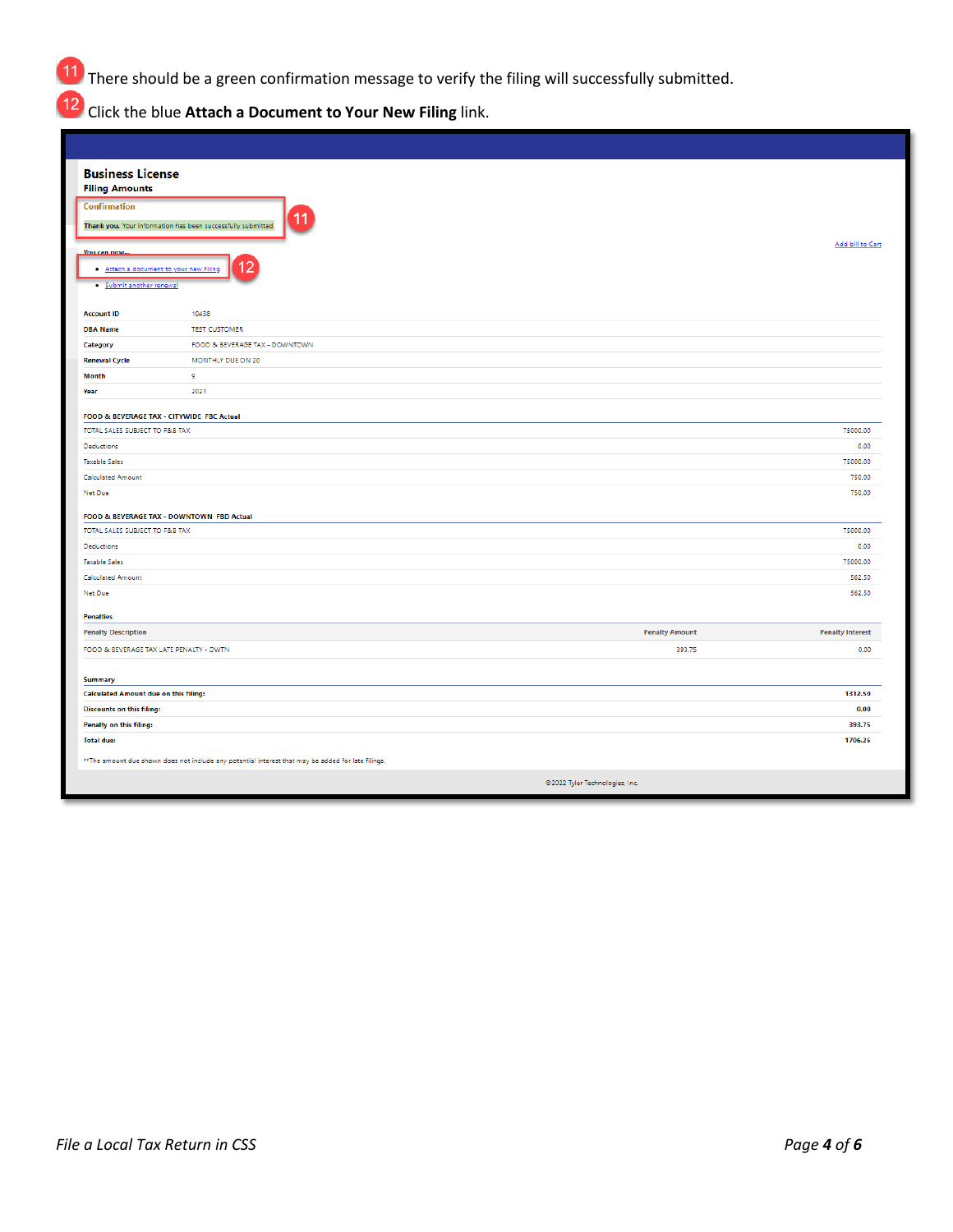There should be a green confirmation message to verify the filing will successfully submitted.

Click the blue **Attach a Document to Your New Filing** link.

| <b>Business License</b><br><b>Filing Amounts</b>                                                    |                                                              |                         |  |  |  |
|-----------------------------------------------------------------------------------------------------|--------------------------------------------------------------|-------------------------|--|--|--|
| <b>Confirmation</b>                                                                                 |                                                              |                         |  |  |  |
|                                                                                                     | Thank you. Your information has been successfully submitted. |                         |  |  |  |
|                                                                                                     |                                                              | Add bill to Cart        |  |  |  |
| <b>You can now</b><br>. Attach a document to your new Filin<br>· Submit another renewal             |                                                              |                         |  |  |  |
| <b>Account ID</b>                                                                                   | 10438                                                        |                         |  |  |  |
| <b>DBA Name</b>                                                                                     | <b>TEST CUSTOMER</b>                                         |                         |  |  |  |
| Category                                                                                            | FOOD & BEVERAGE TAX - DOWNTOWN                               |                         |  |  |  |
| <b>Renewal Cycle</b>                                                                                | MONTHLY DUE ON 20                                            |                         |  |  |  |
| <b>Month</b>                                                                                        | 9                                                            |                         |  |  |  |
| Year                                                                                                | 2021                                                         |                         |  |  |  |
| FOOD & BEVERAGE TAX - CITYWIDE FBC Actual                                                           |                                                              |                         |  |  |  |
| TOTAL SALES SUBJECT TO F&B TAX                                                                      |                                                              | 75000.00                |  |  |  |
| Deductions                                                                                          |                                                              | 0.00                    |  |  |  |
| <b>Taxable Sales</b>                                                                                |                                                              | 75000.00                |  |  |  |
| <b>Calculated Amount</b>                                                                            |                                                              | 750.00                  |  |  |  |
| Net Due                                                                                             |                                                              | 750.00                  |  |  |  |
|                                                                                                     |                                                              |                         |  |  |  |
| TOTAL SALES SUBJECT TO F&B TAX                                                                      | FOOD & BEVERAGE TAX - DOWNTOWN FBD Actual                    |                         |  |  |  |
| Deductions                                                                                          |                                                              | 75000.00<br>0.00        |  |  |  |
| <b>Taxable Sales</b>                                                                                |                                                              | 75000.00                |  |  |  |
| <b>Calculated Amount</b>                                                                            |                                                              | 562.50                  |  |  |  |
| Net Due                                                                                             |                                                              | 562.50                  |  |  |  |
|                                                                                                     |                                                              |                         |  |  |  |
| <b>Penalties</b>                                                                                    |                                                              |                         |  |  |  |
| <b>Penalty Description</b>                                                                          | <b>Penalty Amount</b>                                        | <b>Penalty Interest</b> |  |  |  |
| FOOD & BEVERAGE TAX LATE PENALTY - DWTN                                                             | 393.75                                                       | 0.00                    |  |  |  |
|                                                                                                     |                                                              |                         |  |  |  |
| <b>Summary</b>                                                                                      |                                                              |                         |  |  |  |
| <b>Calculated Amount due on this filing:</b>                                                        |                                                              | 1312.50                 |  |  |  |
| <b>Discounts on this filing:</b>                                                                    |                                                              | 0.00                    |  |  |  |
| Penalty on this filing:                                                                             |                                                              | 393.75                  |  |  |  |
| <b>Total due:</b>                                                                                   |                                                              | 1706.25                 |  |  |  |
| ** The amount due shown does not include any potential interest that may be added for late filings. |                                                              |                         |  |  |  |
|                                                                                                     | @2022 Tyler Technologies, Inc.                               |                         |  |  |  |
|                                                                                                     |                                                              |                         |  |  |  |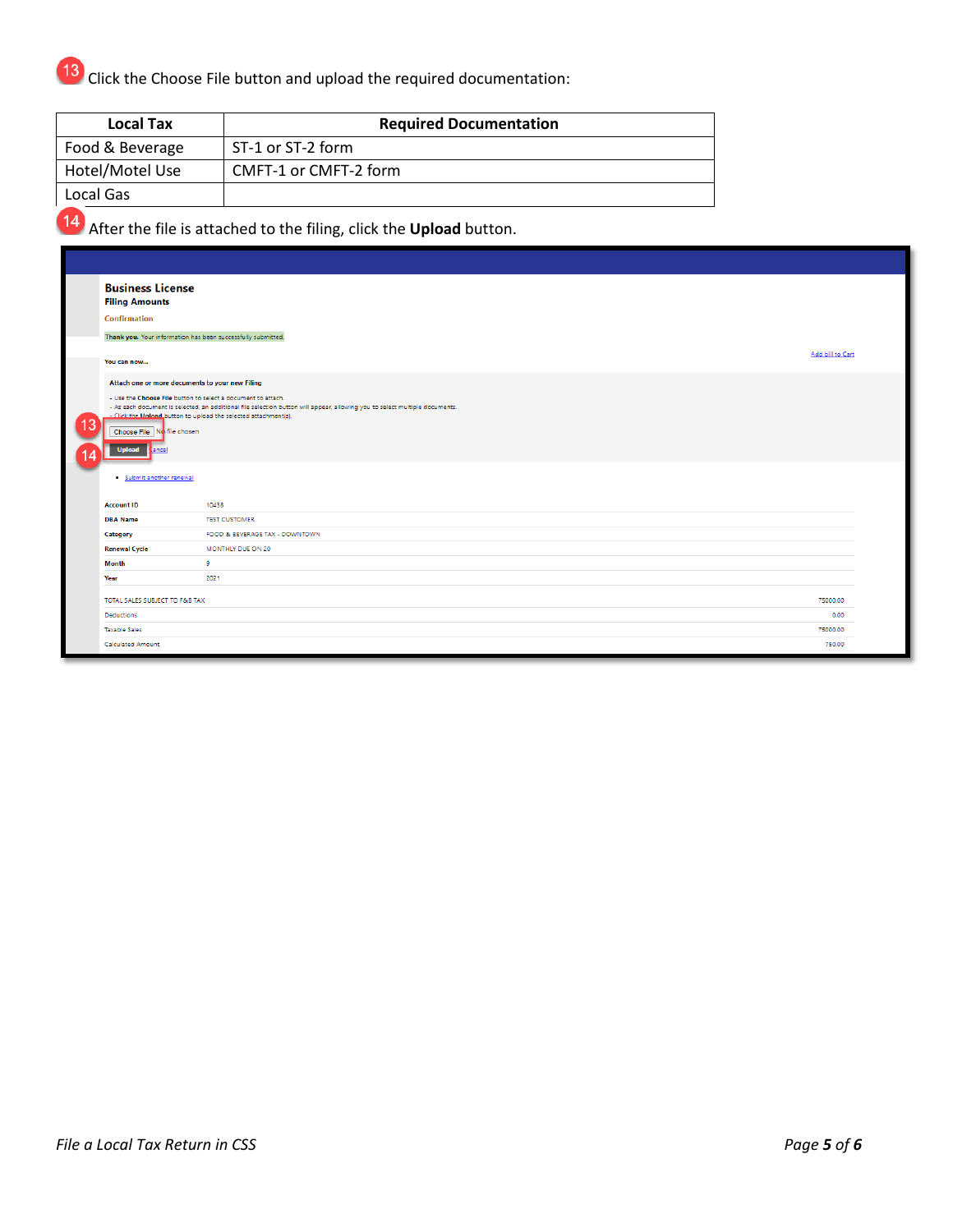Click the Choose File button and upload the required documentation:

| <b>Local Tax</b> | <b>Required Documentation</b> |
|------------------|-------------------------------|
| Food & Beverage  | ST-1 or ST-2 form             |
| Hotel/Motel Use  | CMFT-1 or CMFT-2 form         |
| Local Gas        |                               |

After the file is attached to the filing, click the **Upload** button.

| <b>Business License</b><br><b>Filing Amounts</b><br>Confirmation<br>You can now                                                                                                                                                                                                                                                                                            | Thank you. Your information has been successfully submitted. | Add bill to Cart |  |  |
|----------------------------------------------------------------------------------------------------------------------------------------------------------------------------------------------------------------------------------------------------------------------------------------------------------------------------------------------------------------------------|--------------------------------------------------------------|------------------|--|--|
| Attach one or more documents to your new Filing<br>- Use the Choose File button to select a document to attach.<br>- As each document is selected, an additional file selection button will appear, allowing you to select multiple documents.<br>- Click the Unload button to upload the selected attachment(s).<br>Choose File No file chosen<br><b>Upload</b><br>tancel |                                                              |                  |  |  |
| · Submit another renewal                                                                                                                                                                                                                                                                                                                                                   |                                                              |                  |  |  |
| <b>Account ID</b><br><b>DBA Name</b>                                                                                                                                                                                                                                                                                                                                       | 10438<br><b>TEST CUSTOMER</b>                                |                  |  |  |
| Category                                                                                                                                                                                                                                                                                                                                                                   | FOOD & BEVERAGE TAX - DOWNTOWN                               |                  |  |  |
| <b>Renewal Cycle</b>                                                                                                                                                                                                                                                                                                                                                       | MONTHLY DUE ON 20                                            |                  |  |  |
| <b>Month</b>                                                                                                                                                                                                                                                                                                                                                               | 9                                                            |                  |  |  |
| Year                                                                                                                                                                                                                                                                                                                                                                       | 2021                                                         |                  |  |  |
| TOTAL SALES SUBJECT TO F&B TAX                                                                                                                                                                                                                                                                                                                                             |                                                              | 75000.00         |  |  |
| Deductions<br><b>Taxable Sales</b>                                                                                                                                                                                                                                                                                                                                         |                                                              | 0.00<br>75000.00 |  |  |
| <b>Calculated Amount</b>                                                                                                                                                                                                                                                                                                                                                   |                                                              | 750.00           |  |  |
|                                                                                                                                                                                                                                                                                                                                                                            |                                                              |                  |  |  |